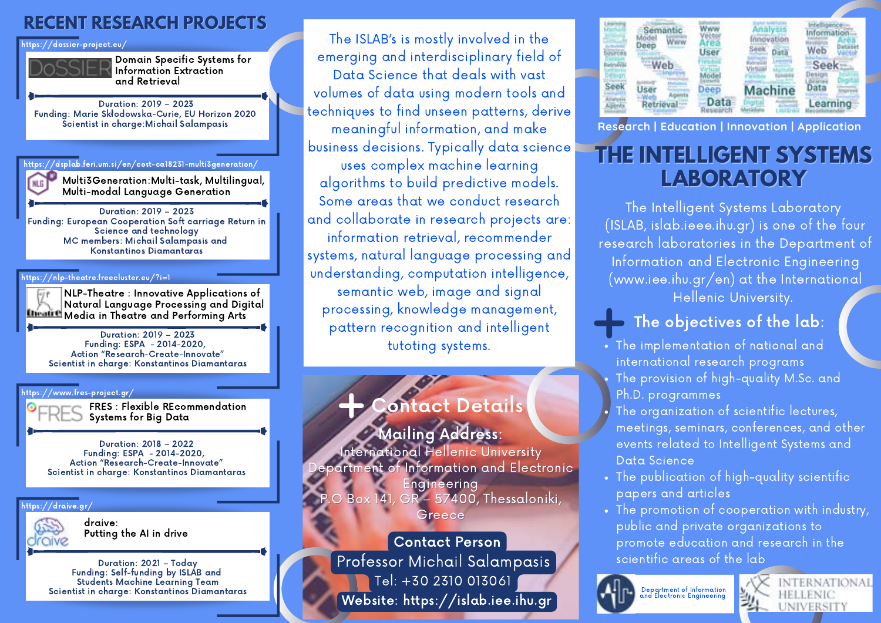## **RECENT RESEARCH PROJECTS**

https://dossier-project.eu/



Domain Specific Systems for Information Extraction and Retrieval

Duration: 2019 – 2023 Funding: Marie Skłodowska-Curie, EU Horizon 2020 Scientist in charge:Michail Salampasis

 $\theta$ dsplab.feri.um.si/en/cost-ca18231-multi3generation/

Multi3Generation:Multi-task, Multilingual, Multi-modal Language Generation

Duration: 2019 – 2023 Funding: European Cooperation Soft carriage Return in Science and technology MC members: Michail Salampasis and Konstantinos Diamantaras

### https://nlp-theatre.freecluster.eu/?i=1

NLP-Theatre : Innovative Applications of Natural Language Processing and Digital **Illicative** Media in Theatre and Performing Arts

Duration: 2019 – 2023 Funding: ESPA - 2014-2020, Action "Research-Create-Innovate" Scientist in charge: Konstantinos Diamantaras

#### https://www.fres-project.gr/

FRES : Flexible REcommendation Systems for Big Data

Duration: 2018 – 2022 Funding: ESPA - 2014-2020, Action "Research-Create-Innovate" Scientist in charge: Konstantinos Diamantaras

#### https://draive.gr/



draive: Putting the AI in drive

Duration: 2021 – Today Funding: Self-funding by ISLAB and Students Machine Learning Team Scientist in charge: Konstantinos Diamantaras

The ISLAB's is mostly involved in the emerging and interdisciplinary field of Data Science that deals with vast volumes of data using modern tools and techniques to find unseen patterns, derive meaningful information, and make business decisions. Typically data science uses complex machine learning algorithms to build predictive models. Some areas that we conduct research and collaborate in research projects are: information retrieval, recommender systems, natural language processing and understanding, computation intelligence, semantic web, image and signal processing, knowledge management, pattern recognition and intelligent tutoting systems.

# Contact Details

**Mailing Address:** International Hellenic University  $\epsilon$ partment of Information and <u>Electronic </u> Engineering Box 141, GR  $-$  57400, Thessaloniki, Greece

Professor Michail Salampasis Tel: +30 2310 013061 Contact Person Website: https://islab.iee.ihu.gr

|      |      | nnovation      |             |
|------|------|----------------|-------------|
| eer  | User | Seek           | Web         |
| -Web |      |                | <b>Seek</b> |
|      | Deep | <b>Machine</b> |             |
|      | Data |                | Learning    |

**Research | Education | Innovation | Application**

# **THE INTELLIGENT SYSTEMS LABORATORY**

The Intelligent Systems Laboratory (ISLAB, islab.ieee.ihu.gr) is one of the four research laboratories in the Department of Information and Electronic Engineering (www.iee.ihu.gr/en) at the International Hellenic University.

## The objectives of the lab:

- The implementation of national and international research programs
- The provision of high-quality M.Sc. and Ph.D. programmes
- The organization of scientific lectures, meetings, seminars, conferences, and other events related to Intelligent Systems and Data Science
- The publication of high-quality scientific papers and articles
- The promotion of cooperation with industry, public and private organizations to promote education and research in the scientific areas of the lab